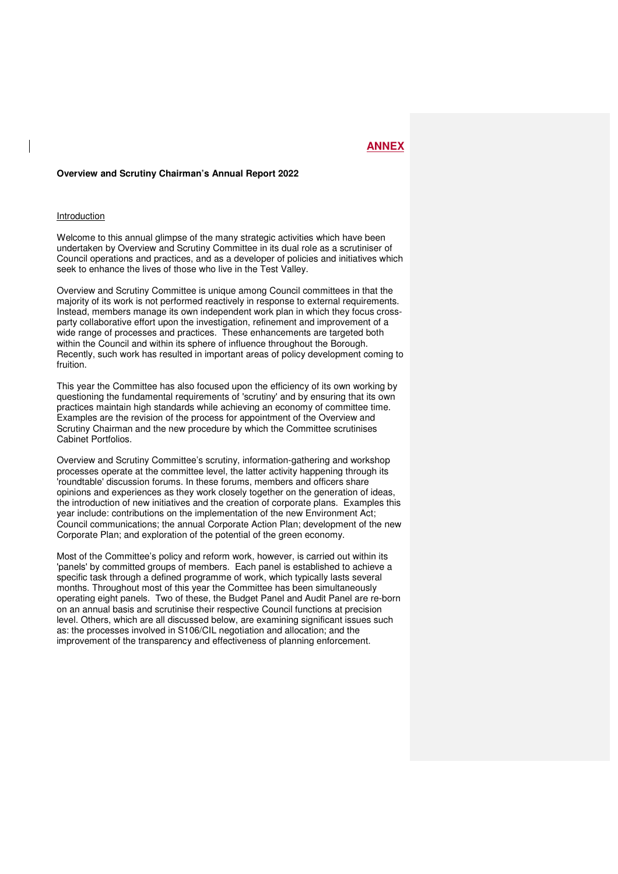#### **Overview and Scrutiny Chairman's Annual Report 2022**

### Introduction

Welcome to this annual glimpse of the many strategic activities which have been undertaken by Overview and Scrutiny Committee in its dual role as a scrutiniser of Council operations and practices, and as a developer of policies and initiatives which seek to enhance the lives of those who live in the Test Valley.

Overview and Scrutiny Committee is unique among Council committees in that the majority of its work is not performed reactively in response to external requirements. Instead, members manage its own independent work plan in which they focus crossparty collaborative effort upon the investigation, refinement and improvement of a wide range of processes and practices. These enhancements are targeted both within the Council and within its sphere of influence throughout the Borough. Recently, such work has resulted in important areas of policy development coming to fruition.

This year the Committee has also focused upon the efficiency of its own working by questioning the fundamental requirements of 'scrutiny' and by ensuring that its own practices maintain high standards while achieving an economy of committee time. Examples are the revision of the process for appointment of the Overview and Scrutiny Chairman and the new procedure by which the Committee scrutinises Cabinet Portfolios.

Overview and Scrutiny Committee's scrutiny, information-gathering and workshop processes operate at the committee level, the latter activity happening through its 'roundtable' discussion forums. In these forums, members and officers share opinions and experiences as they work closely together on the generation of ideas, the introduction of new initiatives and the creation of corporate plans. Examples this year include: contributions on the implementation of the new Environment Act; Council communications; the annual Corporate Action Plan; development of the new Corporate Plan; and exploration of the potential of the green economy.

Most of the Committee's policy and reform work, however, is carried out within its 'panels' by committed groups of members. Each panel is established to achieve a specific task through a defined programme of work, which typically lasts several months. Throughout most of this year the Committee has been simultaneously operating eight panels. Two of these, the Budget Panel and Audit Panel are re-born on an annual basis and scrutinise their respective Council functions at precision level. Others, which are all discussed below, are examining significant issues such as: the processes involved in S106/CIL negotiation and allocation; and the improvement of the transparency and effectiveness of planning enforcement.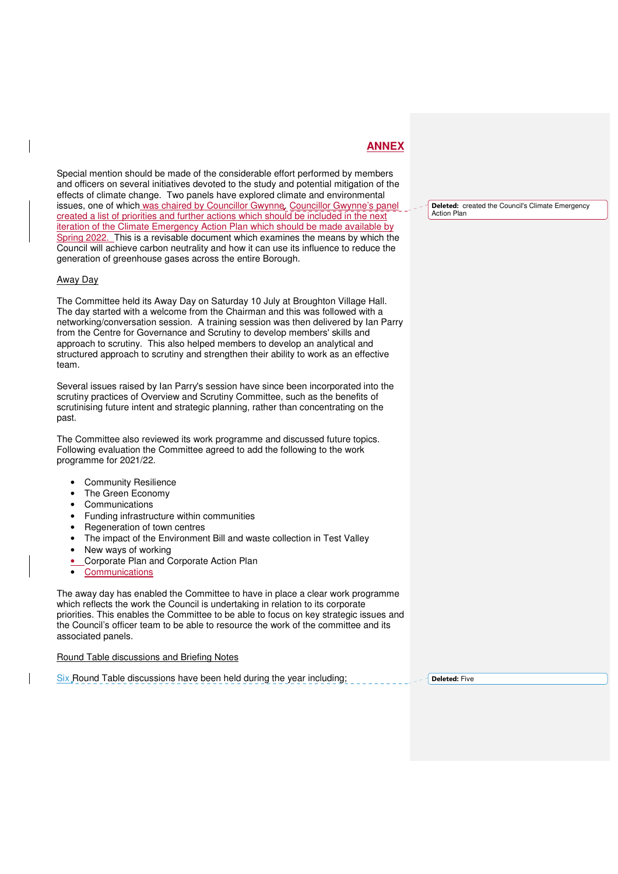Special mention should be made of the considerable effort performed by members and officers on several initiatives devoted to the study and potential mitigation of the effects of climate change. Two panels have explored climate and environmental issues, one of which was chaired by Councillor Gwynne. Councillor Gwynne's panel created a list of priorities and further actions which should be included in the next iteration of the Climate Emergency Action Plan which should be made available by Spring 2022. This is a revisable document which examines the means by which the Council will achieve carbon neutrality and how it can use its influence to reduce the generation of greenhouse gases across the entire Borough.

### Away Day

The Committee held its Away Day on Saturday 10 July at Broughton Village Hall. The day started with a welcome from the Chairman and this was followed with a networking/conversation session. A training session was then delivered by Ian Parry from the Centre for Governance and Scrutiny to develop members' skills and approach to scrutiny. This also helped members to develop an analytical and structured approach to scrutiny and strengthen their ability to work as an effective team.

Several issues raised by Ian Parry's session have since been incorporated into the scrutiny practices of Overview and Scrutiny Committee, such as the benefits of scrutinising future intent and strategic planning, rather than concentrating on the past.

The Committee also reviewed its work programme and discussed future topics. Following evaluation the Committee agreed to add the following to the work programme for 2021/22.

- Community Resilience
- The Green Economy
- **Communications**
- Funding infrastructure within communities
- Regeneration of town centres
- The impact of the Environment Bill and waste collection in Test Valley
- New ways of working
- Corporate Plan and Corporate Action Plan
- **Communications**

The away day has enabled the Committee to have in place a clear work programme which reflects the work the Council is undertaking in relation to its corporate priorities. This enables the Committee to be able to focus on key strategic issues and the Council's officer team to be able to resource the work of the committee and its associated panels.

#### Round Table discussions and Briefing Notes

Six Round Table discussions have been held during the year including;

Deleted: created the Council's Climate Emergency Action Plan

Deleted: Five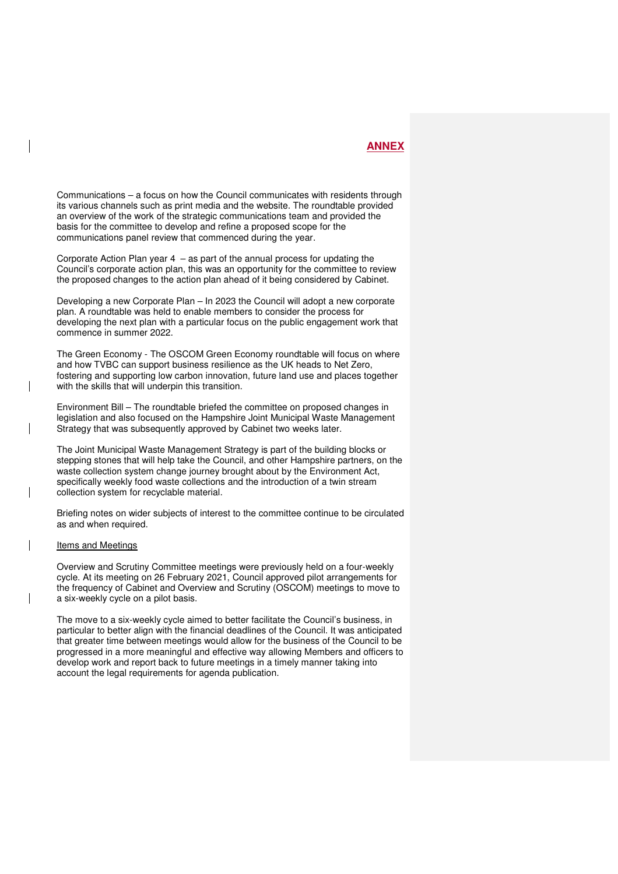Communications – a focus on how the Council communicates with residents through its various channels such as print media and the website. The roundtable provided an overview of the work of the strategic communications team and provided the basis for the committee to develop and refine a proposed scope for the communications panel review that commenced during the year.

Corporate Action Plan year 4 – as part of the annual process for updating the Council's corporate action plan, this was an opportunity for the committee to review the proposed changes to the action plan ahead of it being considered by Cabinet.

Developing a new Corporate Plan – In 2023 the Council will adopt a new corporate plan. A roundtable was held to enable members to consider the process for developing the next plan with a particular focus on the public engagement work that commence in summer 2022.

The Green Economy - The OSCOM Green Economy roundtable will focus on where and how TVBC can support business resilience as the UK heads to Net Zero, fostering and supporting low carbon innovation, future land use and places together with the skills that will underpin this transition.

Environment Bill – The roundtable briefed the committee on proposed changes in legislation and also focused on the Hampshire Joint Municipal Waste Management Strategy that was subsequently approved by Cabinet two weeks later.

The Joint Municipal Waste Management Strategy is part of the building blocks or stepping stones that will help take the Council, and other Hampshire partners, on the waste collection system change journey brought about by the Environment Act, specifically weekly food waste collections and the introduction of a twin stream collection system for recyclable material.

Briefing notes on wider subjects of interest to the committee continue to be circulated as and when required.

### Items and Meetings

Overview and Scrutiny Committee meetings were previously held on a four-weekly cycle. At its meeting on 26 February 2021, Council approved pilot arrangements for the frequency of Cabinet and Overview and Scrutiny (OSCOM) meetings to move to a six-weekly cycle on a pilot basis.

The move to a six-weekly cycle aimed to better facilitate the Council's business, in particular to better align with the financial deadlines of the Council. It was anticipated that greater time between meetings would allow for the business of the Council to be progressed in a more meaningful and effective way allowing Members and officers to develop work and report back to future meetings in a timely manner taking into account the legal requirements for agenda publication.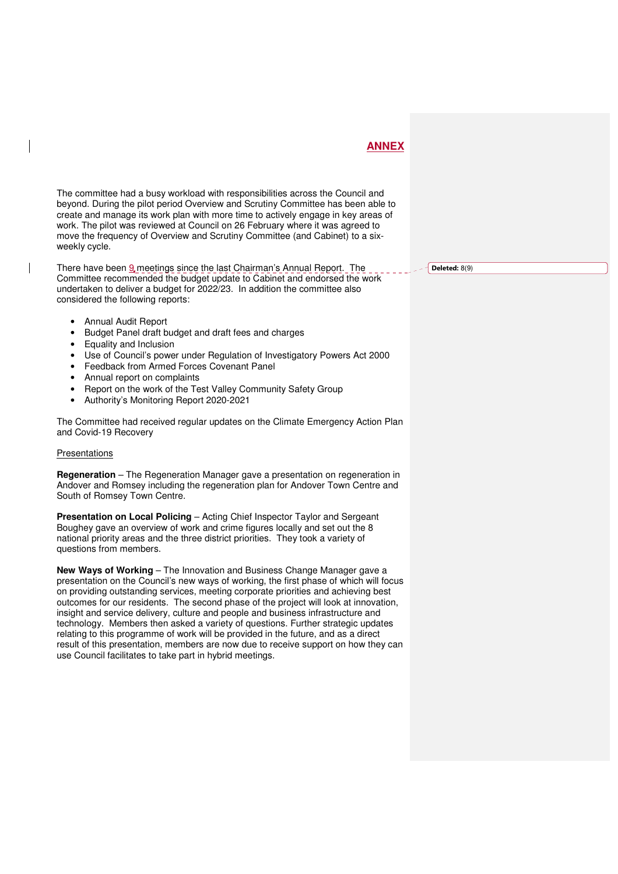The committee had a busy workload with responsibilities across the Council and beyond. During the pilot period Overview and Scrutiny Committee has been able to create and manage its work plan with more time to actively engage in key areas of work. The pilot was reviewed at Council on 26 February where it was agreed to move the frequency of Overview and Scrutiny Committee (and Cabinet) to a sixweekly cycle.

There have been 9 meetings since the last Chairman's Annual Report. The Committee recommended the budget update to Cabinet and endorsed the work undertaken to deliver a budget for 2022/23. In addition the committee also considered the following reports:

- Annual Audit Report
- Budget Panel draft budget and draft fees and charges
- Equality and Inclusion
- Use of Council's power under Regulation of Investigatory Powers Act 2000
- Feedback from Armed Forces Covenant Panel
- Annual report on complaints
- Report on the work of the Test Valley Community Safety Group
- Authority's Monitoring Report 2020-2021

The Committee had received regular updates on the Climate Emergency Action Plan and Covid-19 Recovery

#### Presentations

**Regeneration** – The Regeneration Manager gave a presentation on regeneration in Andover and Romsey including the regeneration plan for Andover Town Centre and South of Romsey Town Centre.

**Presentation on Local Policing** – Acting Chief Inspector Taylor and Sergeant Boughey gave an overview of work and crime figures locally and set out the 8 national priority areas and the three district priorities. They took a variety of questions from members.

**New Ways of Working** – The Innovation and Business Change Manager gave a presentation on the Council's new ways of working, the first phase of which will focus on providing outstanding services, meeting corporate priorities and achieving best outcomes for our residents. The second phase of the project will look at innovation, insight and service delivery, culture and people and business infrastructure and technology. Members then asked a variety of questions. Further strategic updates relating to this programme of work will be provided in the future, and as a direct result of this presentation, members are now due to receive support on how they can use Council facilitates to take part in hybrid meetings.

Deleted: 8(9)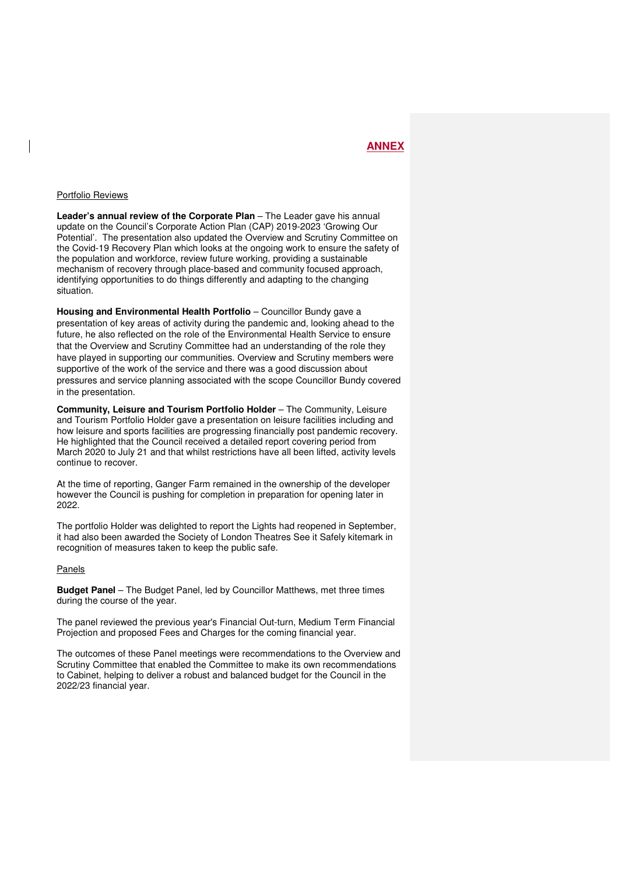#### Portfolio Reviews

**Leader's annual review of the Corporate Plan** – The Leader gave his annual update on the Council's Corporate Action Plan (CAP) 2019-2023 'Growing Our Potential'. The presentation also updated the Overview and Scrutiny Committee on the Covid-19 Recovery Plan which looks at the ongoing work to ensure the safety of the population and workforce, review future working, providing a sustainable mechanism of recovery through place-based and community focused approach, identifying opportunities to do things differently and adapting to the changing situation.

**Housing and Environmental Health Portfolio** – Councillor Bundy gave a presentation of key areas of activity during the pandemic and, looking ahead to the future, he also reflected on the role of the Environmental Health Service to ensure that the Overview and Scrutiny Committee had an understanding of the role they have played in supporting our communities. Overview and Scrutiny members were supportive of the work of the service and there was a good discussion about pressures and service planning associated with the scope Councillor Bundy covered in the presentation.

**Community, Leisure and Tourism Portfolio Holder** – The Community, Leisure and Tourism Portfolio Holder gave a presentation on leisure facilities including and how leisure and sports facilities are progressing financially post pandemic recovery. He highlighted that the Council received a detailed report covering period from March 2020 to July 21 and that whilst restrictions have all been lifted, activity levels continue to recover.

At the time of reporting, Ganger Farm remained in the ownership of the developer however the Council is pushing for completion in preparation for opening later in 2022.

The portfolio Holder was delighted to report the Lights had reopened in September, it had also been awarded the Society of London Theatres See it Safely kitemark in recognition of measures taken to keep the public safe.

#### Panels

**Budget Panel** – The Budget Panel, led by Councillor Matthews, met three times during the course of the year.

The panel reviewed the previous year's Financial Out-turn, Medium Term Financial Projection and proposed Fees and Charges for the coming financial year.

The outcomes of these Panel meetings were recommendations to the Overview and Scrutiny Committee that enabled the Committee to make its own recommendations to Cabinet, helping to deliver a robust and balanced budget for the Council in the 2022/23 financial year.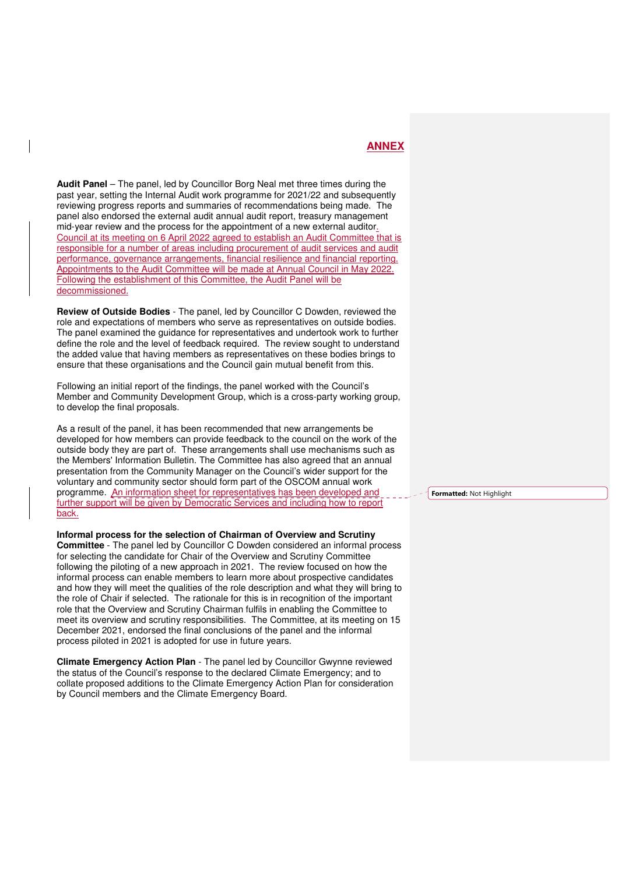**Audit Panel** – The panel, led by Councillor Borg Neal met three times during the past year, setting the Internal Audit work programme for 2021/22 and subsequently reviewing progress reports and summaries of recommendations being made. The panel also endorsed the external audit annual audit report, treasury management mid-year review and the process for the appointment of a new external auditor. Council at its meeting on 6 April 2022 agreed to establish an Audit Committee that is responsible for a number of areas including procurement of audit services and audit performance, governance arrangements, financial resilience and financial reporting. Appointments to the Audit Committee will be made at Annual Council in May 2022. Following the establishment of this Committee, the Audit Panel will be decommissioned.

**Review of Outside Bodies** - The panel, led by Councillor C Dowden, reviewed the role and expectations of members who serve as representatives on outside bodies. The panel examined the guidance for representatives and undertook work to further define the role and the level of feedback required. The review sought to understand the added value that having members as representatives on these bodies brings to ensure that these organisations and the Council gain mutual benefit from this.

Following an initial report of the findings, the panel worked with the Council's Member and Community Development Group, which is a cross-party working group, to develop the final proposals.

As a result of the panel, it has been recommended that new arrangements be developed for how members can provide feedback to the council on the work of the outside body they are part of. These arrangements shall use mechanisms such as the Members' Information Bulletin. The Committee has also agreed that an annual presentation from the Community Manager on the Council's wider support for the voluntary and community sector should form part of the OSCOM annual work programme. An information sheet for representatives has been developed and further support will be given by Democratic Services and including how to report back.

**Informal process for the selection of Chairman of Overview and Scrutiny** 

**Committee** - The panel led by Councillor C Dowden considered an informal process for selecting the candidate for Chair of the Overview and Scrutiny Committee following the piloting of a new approach in 2021. The review focused on how the informal process can enable members to learn more about prospective candidates and how they will meet the qualities of the role description and what they will bring to the role of Chair if selected. The rationale for this is in recognition of the important role that the Overview and Scrutiny Chairman fulfils in enabling the Committee to meet its overview and scrutiny responsibilities. The Committee, at its meeting on 15 December 2021, endorsed the final conclusions of the panel and the informal process piloted in 2021 is adopted for use in future years.

**Climate Emergency Action Plan** - The panel led by Councillor Gwynne reviewed the status of the Council's response to the declared Climate Emergency; and to collate proposed additions to the Climate Emergency Action Plan for consideration by Council members and the Climate Emergency Board.

Formatted: Not Highlight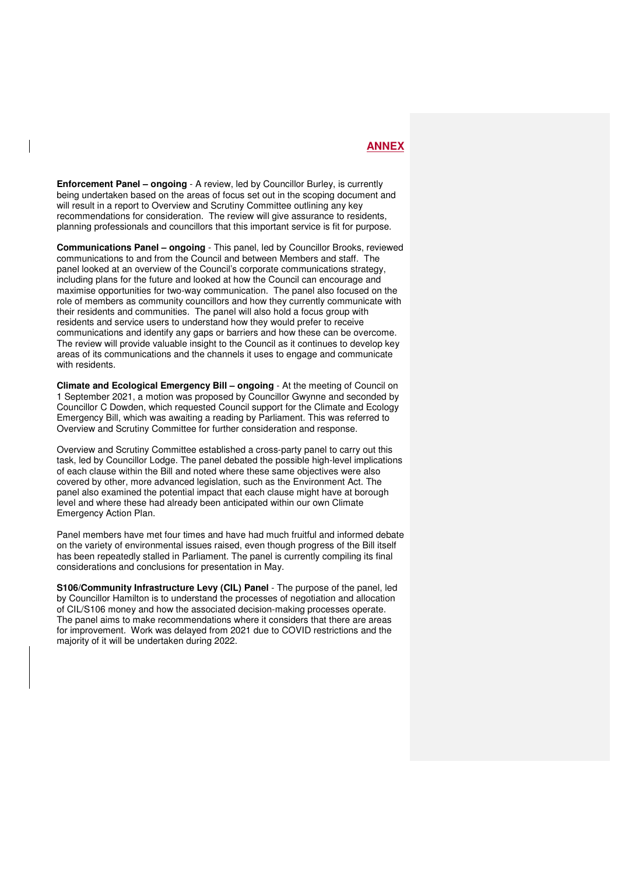**Enforcement Panel – ongoing** - A review, led by Councillor Burley, is currently being undertaken based on the areas of focus set out in the scoping document and will result in a report to Overview and Scrutiny Committee outlining any key recommendations for consideration. The review will give assurance to residents, planning professionals and councillors that this important service is fit for purpose.

**Communications Panel – ongoing** - This panel, led by Councillor Brooks, reviewed communications to and from the Council and between Members and staff. The panel looked at an overview of the Council's corporate communications strategy, including plans for the future and looked at how the Council can encourage and maximise opportunities for two-way communication. The panel also focused on the role of members as community councillors and how they currently communicate with their residents and communities. The panel will also hold a focus group with residents and service users to understand how they would prefer to receive communications and identify any gaps or barriers and how these can be overcome. The review will provide valuable insight to the Council as it continues to develop key areas of its communications and the channels it uses to engage and communicate with residents.

**Climate and Ecological Emergency Bill – ongoing** - At the meeting of Council on 1 September 2021, a motion was proposed by Councillor Gwynne and seconded by Councillor C Dowden, which requested Council support for the Climate and Ecology Emergency Bill, which was awaiting a reading by Parliament. This was referred to Overview and Scrutiny Committee for further consideration and response.

Overview and Scrutiny Committee established a cross-party panel to carry out this task, led by Councillor Lodge. The panel debated the possible high-level implications of each clause within the Bill and noted where these same objectives were also covered by other, more advanced legislation, such as the Environment Act. The panel also examined the potential impact that each clause might have at borough level and where these had already been anticipated within our own Climate Emergency Action Plan.

Panel members have met four times and have had much fruitful and informed debate on the variety of environmental issues raised, even though progress of the Bill itself has been repeatedly stalled in Parliament. The panel is currently compiling its final considerations and conclusions for presentation in May.

**S106/Community Infrastructure Levy (CIL) Panel - The purpose of the panel, led** by Councillor Hamilton is to understand the processes of negotiation and allocation of CIL/S106 money and how the associated decision-making processes operate. The panel aims to make recommendations where it considers that there are areas for improvement. Work was delayed from 2021 due to COVID restrictions and the majority of it will be undertaken during 2022.